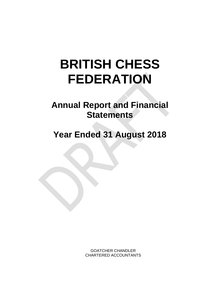# **BRITISH CHESS FEDERATION**

**Annual Report and Financial Statements** 

**Year Ended 31 August 2018**

GOATCHER CHANDLER CHARTERED ACCOUNTANTS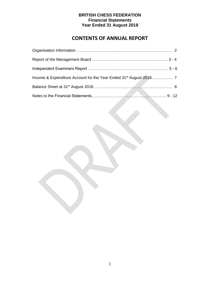## **CONTENTS OF ANNUAL REPORT**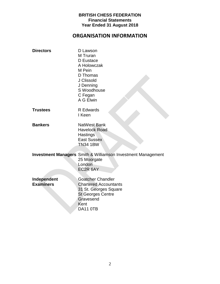## **ORGANISATION INFORMATION**

| <b>Directors</b>                | D Lawson<br>M Truran<br>D Eustace<br>A Holowczak<br>M Pein<br>D Thomas<br>J Clissold<br>J Denning<br>S Woodhouse<br>C Fegan<br>A G Elwin       |
|---------------------------------|------------------------------------------------------------------------------------------------------------------------------------------------|
| <b>Trustees</b>                 | <b>R</b> Edwards<br>I Keen                                                                                                                     |
| <b>Bankers</b>                  | <b>NatWest Bank</b><br><b>Havelock Road</b><br><b>Hastings</b><br><b>East Sussex</b><br><b>TN34 1BW</b>                                        |
|                                 | <b>Investment Managers</b> Smith & Williamson Investment Management<br>25 Moorgate<br>London<br>EC2R 6AY                                       |
| Independent<br><b>Examiners</b> | <b>Goatcher Chandler</b><br><b>Chartered Accountants</b><br>31 St. Georges Square<br><b>St Georges Centre</b><br>Gravesend<br>Kent<br>DA11 OTB |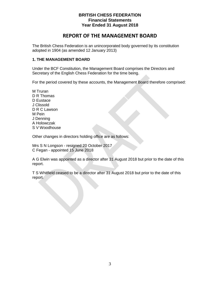## **REPORT OF THE MANAGEMENT BOARD**

The British Chess Federation is an unincorporated body governed by its constitution adopted in 1904 (as amended 12 January 2013)

## **1. THE MANAGEMENT BOARD**

Under the BCF Constitution, the Management Board comprises the Directors and Secretary of the English Chess Federation for the time being.

For the period covered by these accounts, the Management Board therefore comprised:

M Truran D R Thomas D Eustace J Clissold D R C Lawson M Pein J Denning A Holowczak S V Woodhouse

Other changes in directors holding office are as follows:

Mrs S N Longson - resigned 20 October 2017 C Fegan - appointed 15 June 2018

A G Elwin was appointed as a director after 31 August 2018 but prior to the date of this report.

T S Whitfield ceased to be a director after 31 August 2018 but prior to the date of this report.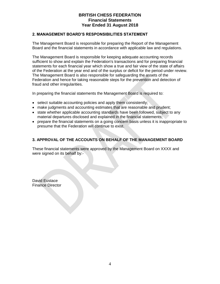#### **2. MANAGEMENT BOARD'S RESPONSIBILITIES STATEMENT**

The Management Board is responsible for preparing the Report of the Management Board and the financial statements in accordance with applicable law and regulations.

The Management Board is responsible for keeping adequate accounting records sufficient to show and explain the Federation's transactions and for preparing financial statements for each financial year which show a true and fair view of the state of affairs of the Federation at the year end and of the surplus or deficit for the period under review. The Management Board is also responsible for safeguarding the assets of the Federation and hence for taking reasonable steps for the prevention and detection of fraud and other irregularities.

In preparing the financial statements the Management Board is required to:

- select suitable accounting policies and apply them consistently;
- make judgments and accounting estimates that are reasonable and prudent;
- state whether applicable accounting standards have been followed, subject to any material departures disclosed and explained in the financial statements;
- prepare the financial statements on a going concern basis unless it is inappropriate to presume that the Federation will continue to exist.

## **3. APPROVAL OF THE ACCOUNTS ON BEHALF OF THE MANAGEMENT BOARD**

These financial statements were approved by the Management Board on XXXX and were signed on its behalf by:-

David Eustace Finance Director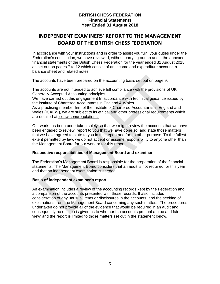## **INDEPENDENT EXAMINERS' REPORT TO THE MANAGEMENT BOARD OF THE BRITISH CHESS FEDERATION**

In accordance with your instructions and in order to assist you fulfil your duties under the Federation's constitution, we have reviewed, without carrying out an audit, the annexed financial statements of the British Chess Federation for the year ended 31 August 2018 as set out on pages 7 to 12 which consist of an income and expenditure account, a balance sheet and related notes.

The accounts have been prepared on the accounting basis set out on page 9.

The accounts are not intended to achieve full compliance with the provisions of UK Generally Accepted Accounting principles.

We have carried out this engagement In accordance with technical guidance issued by the institute of Chartered Accountants in England & Wales.

As a practising member firm of the Institute of Chartered Accountants in England and Wales (ICAEW), we are subject to its ethical and other professional requirements which are detailed at iceaw.com/regulations.

Our work has been undertaken solely so that we might review the accounts that we have been engaged to review, report to you that we have done so, and state those matters that we have agreed to state to you in this report and for no other purpose. To the fullest extent permitted by law, we do not accept or assume responsibility to anyone other than the Management Board for our work or for this report.

### **Respective responsibilities of Management Board and examiner**

The Federation's Management Board is responsible for the preparation of the financial statements. The Management Board considers that an audit is not required for this year and that an independent examination is needed.

#### **Basis of independent examiner's report**

An examination includes a review of the accounting records kept by the Federation and a comparison of the accounts presented with those records. It also includes consideration of any unusual items or disclosures in the accounts, and the seeking of explanations from the Management Board concerning any such matters. The procedures undertaken do not provide all of the evidence that would be required in an audit and, consequently no opinion is given as to whether the accounts present a 'true and fair view' and the report is limited to those matters set out in the statement below.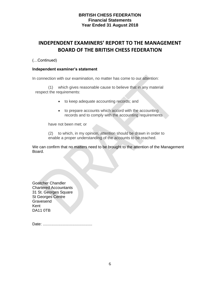## **INDEPENDENT EXAMINERS' REPORT TO THE MANAGEMENT BOARD OF THE BRITISH CHESS FEDERATION**

## (…Continued)

#### **Independent examiner's statement**

In connection with our examination, no matter has come to our attention:

(1) which gives reasonable cause to believe that in any material respect the requirements:

- to keep adequate accounting records; and
- to prepare accounts which accord with the accounting records and to comply with the accounting requirements

have not been met; or

(2) to which, in my opinion, attention should be drawn in order to enable a proper understanding of the accounts to be reached.

We can confirm that no matters need to be brought to the attention of the Management Board.

Goatcher Chandler Chartered Accountants 31 St. Georges Square St Georges Centre **Gravesend** Kent DA11 0TB

Date: .............................................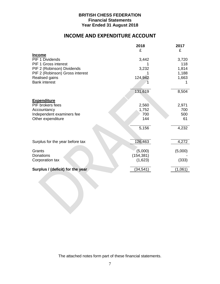## **INCOME AND EXPENDITURE ACCOUNT**

|                                  | 2018       | 2017    |
|----------------------------------|------------|---------|
|                                  | £          | £       |
| <b>Income</b>                    |            |         |
| <b>PIF 1 Dividends</b>           | 3,442      | 3,720   |
| PIF 1 Gross interest             |            | 118     |
| PIF 2 (Robinson) Dividends       | 3,232      | 1,814   |
| PIF 2 (Robinson) Gross interest  |            | 1,188   |
| Realised gains                   | 124,942    | 1,663   |
| <b>Bank interest</b>             |            |         |
|                                  |            |         |
|                                  | 131,619    | 8,504   |
|                                  |            |         |
| <b>Expenditure</b>               |            |         |
| PIF brokers fees                 | 2,560      | 2,971   |
| Accountancy                      | 1,752      | 700     |
| Independent examiners fee        | 700        | 500     |
| Other expenditure                | 144        | 61      |
|                                  |            |         |
|                                  | 5,156      | 4,232   |
|                                  |            |         |
|                                  |            |         |
| Surplus for the year before tax  | 126,463    | 4,272   |
|                                  |            |         |
| Grants                           | (5,000)    | (5,000) |
| Donations                        | (154, 381) |         |
| Corporation tax                  | (1,623)    | (333)   |
|                                  |            |         |
| Surplus / (deficit) for the year | (34, 541)  | (1,061) |
|                                  |            |         |

The attached notes form part of these financial statements.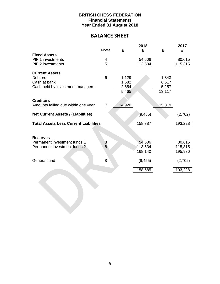## **BALANCE SHEET**

|                                                 |                       |        | 2018              |        | 2017               |
|-------------------------------------------------|-----------------------|--------|-------------------|--------|--------------------|
|                                                 | <b>Notes</b>          | £      | £                 | £      | £                  |
| <b>Fixed Assets</b>                             |                       |        |                   |        |                    |
| <b>PIF 1 investments</b><br>PIF 2 investments   | 4<br>5                |        | 54,606<br>113,534 |        | 80,615<br>115,315  |
|                                                 |                       |        |                   |        |                    |
| <b>Current Assets</b>                           |                       |        |                   |        |                    |
| <b>Debtors</b>                                  | 6                     | 1,129  |                   | 1,343  |                    |
| Cash at bank                                    |                       | 1,682  |                   | 6,517  |                    |
| Cash held by investment managers                |                       | 2,654  |                   | 5,257  |                    |
|                                                 |                       | 5,465  |                   | 13,117 |                    |
|                                                 |                       |        |                   |        |                    |
| <b>Creditors</b>                                |                       |        |                   |        |                    |
| Amounts falling due within one year             | $\overline{7}$        | 14,920 |                   | 15,819 |                    |
|                                                 |                       |        |                   |        |                    |
| <b>Net Current Assets / (Liabilities)</b>       |                       |        | (9, 455)          |        | (2,702)            |
|                                                 |                       |        |                   |        |                    |
| <b>Total Assets Less Current Liabilities</b>    |                       |        | 158,387           |        | 193,228            |
|                                                 |                       |        |                   |        |                    |
|                                                 |                       |        |                   |        |                    |
| <b>Reserves</b><br>Permanent investment funds 1 |                       |        | 54,606            |        | 80,615             |
| Permanent investment funds 2                    | $\boldsymbol{8}$<br>8 |        | 113,534           |        |                    |
|                                                 |                       |        | 168,140           |        | 115,315<br>195,930 |
|                                                 |                       |        |                   |        |                    |
| General fund                                    | 8                     |        | (9, 455)          |        | (2,702)            |
|                                                 |                       |        |                   |        |                    |
|                                                 |                       |        | 158,685           |        | 193,228            |
|                                                 |                       |        |                   |        |                    |
|                                                 |                       |        |                   |        |                    |
|                                                 |                       |        |                   |        |                    |
|                                                 |                       |        |                   |        |                    |
|                                                 |                       |        |                   |        |                    |
|                                                 |                       |        |                   |        |                    |
|                                                 |                       |        |                   |        |                    |
|                                                 |                       |        |                   |        |                    |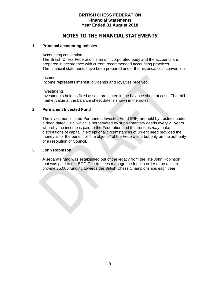## **NOTES TO THE FINANCIAL STATEMENTS**

### **1. Principal accounting policies**

#### Accounting convention

The British Chess Federation is an unincorporated body and the accounts are prepared in accordance with current recommended accounting practices. The financial statements have been prepared under the historical cost convention.

Income Income represents interest, dividends and royalties received.

**Investments** Investments held as fixed assets are stated in the balance sheet at cost. The midmarket value at the balance sheet date is shown in the notes.

### **2. Permanent Invested Fund**

The investments in the Permanent Invested Fund (PIF) are held by trustees under a deed dated 1929 which is perpetuated by supplementary deeds every 21 years whereby the income is paid to the Federation and the trustees *may* make distributions of capital in exceptional circumstances of urgent need provided the money is for the benefit of "the objects" of the Federation, but only on the authority of a resolution of Council.

## **3. John Robinson**

A separate fund was established out of the legacy from the late John Robinson that was paid to the BCF. The trustees manage the fund in order to be able to provide £5,000 funding towards the British Chess Championships each year.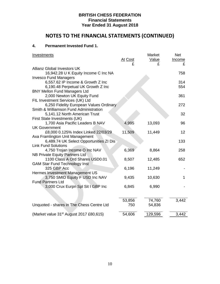# **NOTES TO THE FINANCIAL STATEMENTS (CONTINUED)**

## **4. Permanent Invested Fund 1.**

| <b>Investments</b>                                               |                | Market  | <b>Net</b> |
|------------------------------------------------------------------|----------------|---------|------------|
|                                                                  | <u>At Cost</u> | Value   | Income     |
|                                                                  |                | £       |            |
| <b>Allianz Global Investors UK</b>                               |                |         |            |
| 16,942.28 U K Equity Income C Inc NA                             |                |         | 758        |
| <b>Invesco Fund Managers</b>                                     |                |         |            |
| 6,557.62 IP Income & Growth Z Inc                                |                |         | 314        |
| 6,190.48 Perpetual UK Growth Z Inc                               |                |         | 554        |
| <b>BNY Mellon Fund Managers Ltd</b>                              |                |         |            |
| 2,000 Newton UK Equity Fund                                      |                |         | 361        |
| FIL Investment Services (UK) Ltd                                 |                |         |            |
| 6,250 Fidelity European Values Ordinary                          |                |         | 272        |
| Smith & Williamson Fund Administration                           |                |         |            |
| 5,141.12 North American Trust                                    |                |         | 32         |
| First State Investments (UK)<br>1,700 Asia Pacific Leaders B NAV | 4,995          | 13,093  | 96         |
| <b>UK Government</b>                                             |                |         |            |
| £8,000 0.125% Index Linked 22/03/29                              | 11,509         | 11,449  | 12         |
| Axa Framlington Unit Management                                  |                |         |            |
| 6,489.74 UK Select Opportunities ZI Dis                          |                |         | 133        |
| <b>Link Fund Solutions</b>                                       |                |         |            |
| 4,750 Trojan Income O Inc NAV                                    | 6,369          | 8,864   | 258        |
| NB Private Equity Partners Ltd                                   |                |         |            |
| 1100 Class A Ord Shares USD0.01                                  | 8,507          | 12,485  | 652        |
| <b>GAM Star Fund Technology Inst</b>                             |                |         |            |
| 325 GBP Acc                                                      | 6,196          | 11,249  |            |
| Hermes Investment Management US                                  |                |         |            |
| 3,750 SMID Equity F USD Inc NAV                                  | 9,435          | 10,630  | 1          |
| <b>Fund Partners Ltd</b>                                         |                |         |            |
| 3,000 Crux Eurpn Spl Sit I GBP Inc                               | 6,845          | 6,990   |            |
|                                                                  |                |         |            |
|                                                                  |                |         |            |
|                                                                  | 53,856         | 74,760  | 3,442      |
| Unquoted - shares in The Chess Centre Ltd                        | 750            | 54,836  |            |
|                                                                  |                |         |            |
| (Market value 31 <sup>st</sup> August 2017 £80,615)              | 54,606         | 129,596 | 3,442      |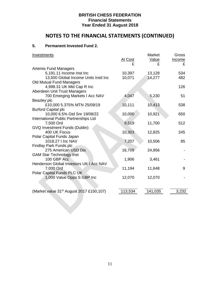# **NOTES TO THE FINANCIAL STATEMENTS (CONTINUED)**

## **5. Permanent Invested Fund 2.**

| <b>Investments</b>                                   |              | Market     | Gross              |
|------------------------------------------------------|--------------|------------|--------------------|
|                                                      | At Cost<br>£ | Value<br>£ | <b>Income</b><br>£ |
| <b>Artemis Fund Managers</b>                         |              |            |                    |
| 5,191.11 Income Inst Inc                             | 10,397       | 13,128     | 534                |
| 13,500 Global Income Units Instl Inc                 | 10,071       | 14,277     | 482                |
| Old Mutual Fund Managers                             |              |            |                    |
| 4,998.31 UK Mid Cap R Inc                            |              |            | 126                |
| Aberdeen Unit Trust Managers                         |              |            |                    |
| 700 Emerging Markets I Acc NAV                       | 4,047        | 5,230      | 51                 |
| Beazley plc                                          |              |            |                    |
| £10,000 5.375% MTN 25/09/19                          | 10,111       | 10,413     | 538                |
| <b>Burford Capital plc</b>                           |              |            |                    |
| 10,000 6.5% Gtd Snr 19/08/22                         | 10,000       | 10,921     | 650                |
| International Public Partnerships Ltd                |              |            | 512                |
| 7,500 Ord<br><b>GVQ Investment Funds (Dublin)</b>    | 9,519        | 11,700     |                    |
| 400 UK Focus                                         | 10,303       | 12,825     | 245                |
| Polar Capital Funds Japan                            |              |            |                    |
| 1018.27   Inc NAV                                    | 7,207        | 10,506     | 85                 |
| <b>Findlay Park Funds plc</b>                        |              |            |                    |
| 275 American USD Dis                                 | 16,709       | 24,856     |                    |
| <b>GAM Star Technology Inst</b>                      |              |            |                    |
| 100 GBP Acc                                          | 1,906        | 3,461      |                    |
| Henderson Global Investors UK I Acc NAV              |              |            |                    |
| 7,000 Ord                                            | 11,194       | 11,648     | 9                  |
| Polar Capital Funds PLC UK                           |              |            |                    |
| 1,000 Value Opps S GBP Inc                           | 12,070       | 12,070     |                    |
|                                                      |              |            |                    |
|                                                      |              |            |                    |
| (Market value 31 <sup>st</sup> August 2017 £150,107) | 113,534      | 141,035    | 3,232              |